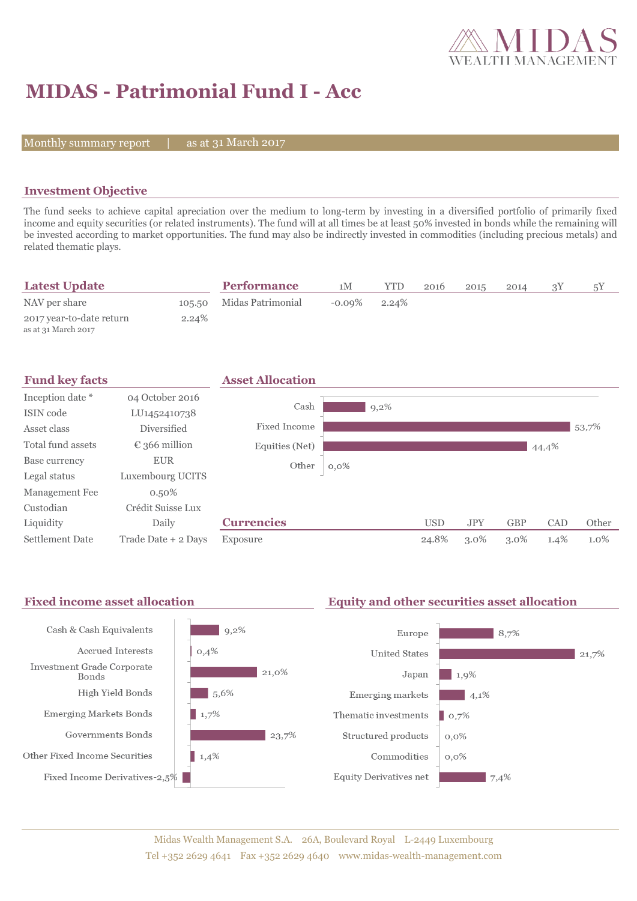

# **MIDAS - Patrimonial Fund I - Acc**

Monthly summary report  $|$ 

as at 31 March 2017

## **Investment Objective**

The fund seeks to achieve capital apreciation over the medium to long-term by investing in a diversified portfolio of primarily fixed income and equity securities (or related instruments). The fund will at all times be at least 50% invested in bonds while the remaining will be invested according to market opportunities. The fund may also be indirectly invested in commodities (including precious metals) and related thematic plays.

| <b>Latest Update</b>                            |        | <b>Performance</b> | 1 <sub>M</sub> | YTD   | 2016 | 2015 | 2014 | 5Y |
|-------------------------------------------------|--------|--------------------|----------------|-------|------|------|------|----|
| NAV per share                                   | 105.50 | Midas Patrimonial  | $-0.09\%$      | 2.24% |      |      |      |    |
| 2017 year-to-date return<br>as at 31 March 2017 | 2.24%  |                    |                |       |      |      |      |    |



### Fixed income asset allocation **Equity and other securities asset allocation**

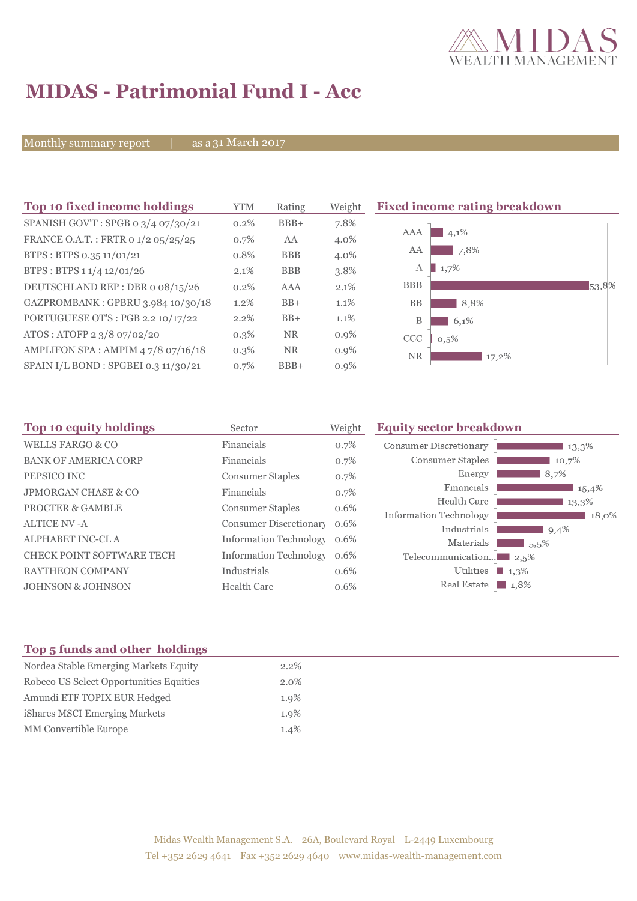

# **MIDAS - Patrimonial Fund I - Acc**

Monthly summary report | as a 31 March 2017

| Top 10 fixed income holdings         | <b>YTM</b> | Rating     | Weight  | <b>Fixed income rating breakdown</b> |       |
|--------------------------------------|------------|------------|---------|--------------------------------------|-------|
| SPANISH GOV'T: SPGB 0 3/4 07/30/21   | 0.2%       | $BBB+$     | 7.8%    |                                      |       |
| FRANCE O.A.T.: FRTR 0 1/2 05/25/25   | 0.7%       | AA         | 4.0%    | 4,1%<br>AAA                          |       |
| BTPS: BTPS 0.35 11/01/21             | 0.8%       | <b>BBB</b> | 4.0%    | 7,8%<br>AA                           |       |
| BTPS: BTPS 1 1/4 12/01/26            | 2.1%       | <b>BBB</b> | 3.8%    | 1,7%<br>А                            |       |
| DEUTSCHLAND REP : DBR o 08/15/26     | 0.2%       | <b>AAA</b> | 2.1%    | <b>BBB</b>                           | 53,8% |
| GAZPROMBANK: GPBRU 3.984 10/30/18    | 1.2%       | $BB+$      | 1.1%    | <b>BB</b><br>8,8%                    |       |
| PORTUGUESE OT'S : PGB 2.2 10/17/22   | 2.2%       | $BB+$      | $1.1\%$ | B<br>$6.1\%$                         |       |
| ATOS: ATOFP 2 3/8 07/02/20           | $0.3\%$    | <b>NR</b>  | $0.9\%$ | <b>CCC</b><br>0,5%                   |       |
| AMPLIFON SPA: AMPIM 47/8 07/16/18    | $0.3\%$    | NR         | $0.9\%$ | <b>NR</b><br>17,2%                   |       |
| SPAIN I/L BOND : SPGBEI 0.3 11/30/21 | 0.7%       | $BBB+$     | $0.9\%$ |                                      |       |

| Top 10 equity holdings<br>Sector |                               | Weight  | <b>Equity sector breakdown</b>        |                     |
|----------------------------------|-------------------------------|---------|---------------------------------------|---------------------|
| <b>WELLS FARGO &amp; CO</b>      | Financials                    | 0.7%    | Consumer Discretionary                | 13,3%               |
| <b>BANK OF AMERICA CORP</b>      | Financials                    | 0.7%    | Consumer Staples                      | 10,7%               |
| PEPSICO INC                      | <b>Consumer Staples</b>       | 0.7%    | Energy                                | 8,7%                |
| <b>JPMORGAN CHASE &amp; CO</b>   | Financials                    | 0.7%    | Financials                            | 15,4%               |
| <b>PROCTER &amp; GAMBLE</b>      | <b>Consumer Staples</b>       | 0.6%    | Health Care                           | 13,3%               |
| <b>ALTICE NV-A</b>               | Consumer Discretionary        | 0.6%    | Information Technology<br>Industrials | 18,0%<br>9,4%       |
| ALPHABET INC-CLA                 | <b>Information Technology</b> | 0.6%    | Materials                             | 5.5%                |
| <b>CHECK POINT SOFTWARE TECH</b> | <b>Information Technology</b> | $0.6\%$ | Telecommunication                     | 12.5%               |
| <b>RAYTHEON COMPANY</b>          | Industrials                   | 0.6%    | Utilities                             | $1,3\%$             |
| <b>JOHNSON &amp; JOHNSON</b>     | <b>Health Care</b>            | 0.6%    | Real Estate                           | $\blacksquare$ 1,8% |

## **Top 5 funds and other holdings**

| Nordea Stable Emerging Markets Equity   | $2.2\%$ |
|-----------------------------------------|---------|
| Robeco US Select Opportunities Equities | $2.0\%$ |
| Amundi ETF TOPIX EUR Hedged             | $1.9\%$ |
| iShares MSCI Emerging Markets           | $1.9\%$ |
| <b>MM</b> Convertible Europe            | 1.4%    |